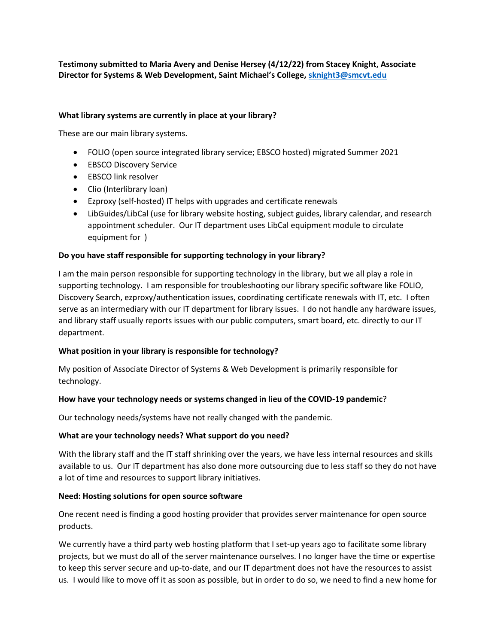**Testimony submitted to Maria Avery and Denise Hersey (4/12/22) from Stacey Knight, Associate Director for Systems & Web Development, Saint Michael's College, [sknight3@smcvt.edu](mailto:sknight3@smcvt.edu)**

## **What library systems are currently in place at your library?**

These are our main library systems.

- FOLIO (open source integrated library service; EBSCO hosted) migrated Summer 2021
- EBSCO Discovery Service
- EBSCO link resolver
- Clio (Interlibrary loan)
- Ezproxy (self-hosted) IT helps with upgrades and certificate renewals
- LibGuides/LibCal (use for library website hosting, subject guides, library calendar, and research appointment scheduler. Our IT department uses LibCal equipment module to circulate equipment for )

### **Do you have staff responsible for supporting technology in your library?**

I am the main person responsible for supporting technology in the library, but we all play a role in supporting technology. I am responsible for troubleshooting our library specific software like FOLIO, Discovery Search, ezproxy/authentication issues, coordinating certificate renewals with IT, etc. I often serve as an intermediary with our IT department for library issues. I do not handle any hardware issues, and library staff usually reports issues with our public computers, smart board, etc. directly to our IT department.

# **What position in your library is responsible for technology?**

My position of Associate Director of Systems & Web Development is primarily responsible for technology.

#### **How have your technology needs or systems changed in lieu of the COVID-19 pandemic**?

Our technology needs/systems have not really changed with the pandemic.

#### **What are your technology needs? What support do you need?**

With the library staff and the IT staff shrinking over the years, we have less internal resources and skills available to us. Our IT department has also done more outsourcing due to less staff so they do not have a lot of time and resources to support library initiatives.

#### **Need: Hosting solutions for open source software**

One recent need is finding a good hosting provider that provides server maintenance for open source products.

We currently have a third party web hosting platform that I set-up years ago to facilitate some library projects, but we must do all of the server maintenance ourselves. I no longer have the time or expertise to keep this server secure and up-to-date, and our IT department does not have the resources to assist us. I would like to move off it as soon as possible, but in order to do so, we need to find a new home for